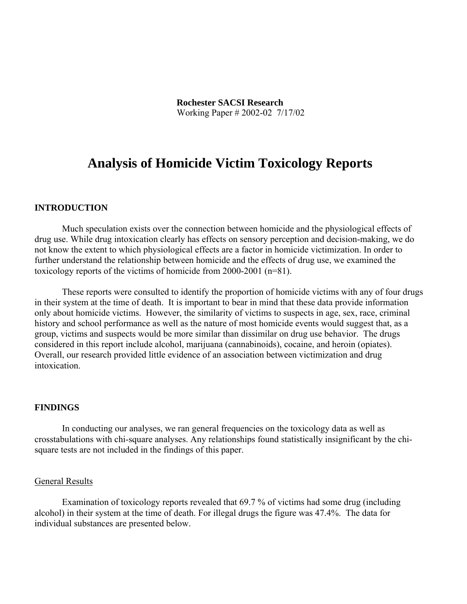# **Analysis of Homicide Victim Toxicology Reports**

### **INTRODUCTION**

Much speculation exists over the connection between homicide and the physiological effects of drug use. While drug intoxication clearly has effects on sensory perception and decision-making, we do not know the extent to which physiological effects are a factor in homicide victimization. In order to further understand the relationship between homicide and the effects of drug use, we examined the toxicology reports of the victims of homicide from 2000-2001 (n=81).

These reports were consulted to identify the proportion of homicide victims with any of four drugs in their system at the time of death. It is important to bear in mind that these data provide information only about homicide victims. However, the similarity of victims to suspects in age, sex, race, criminal history and school performance as well as the nature of most homicide events would suggest that, as a group, victims and suspects would be more similar than dissimilar on drug use behavior. The drugs considered in this report include alcohol, marijuana (cannabinoids), cocaine, and heroin (opiates). Overall, our research provided little evidence of an association between victimization and drug intoxication.

## **FINDINGS**

In conducting our analyses, we ran general frequencies on the toxicology data as well as crosstabulations with chi-square analyses. Any relationships found statistically insignificant by the chisquare tests are not included in the findings of this paper.

#### General Results

Examination of toxicology reports revealed that 69.7 % of victims had some drug (including alcohol) in their system at the time of death. For illegal drugs the figure was 47.4%. The data for individual substances are presented below.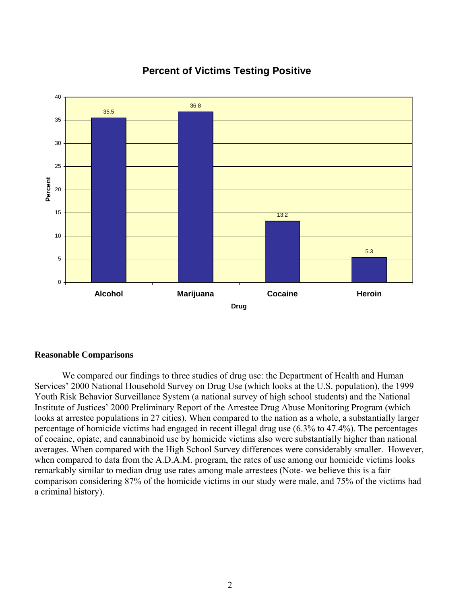

## **Percent of Victims Testing Positive**

#### **Reasonable Comparisons**

We compared our findings to three studies of drug use: the Department of Health and Human Services' 2000 National Household Survey on Drug Use (which looks at the U.S. population), the 1999 Youth Risk Behavior Surveillance System (a national survey of high school students) and the National Institute of Justices' 2000 Preliminary Report of the Arrestee Drug Abuse Monitoring Program (which looks at arrestee populations in 27 cities). When compared to the nation as a whole, a substantially larger percentage of homicide victims had engaged in recent illegal drug use (6.3% to 47.4%). The percentages of cocaine, opiate, and cannabinoid use by homicide victims also were substantially higher than national averages. When compared with the High School Survey differences were considerably smaller. However, when compared to data from the A.D.A.M. program, the rates of use among our homicide victims looks remarkably similar to median drug use rates among male arrestees (Note- we believe this is a fair comparison considering 87% of the homicide victims in our study were male, and 75% of the victims had a criminal history).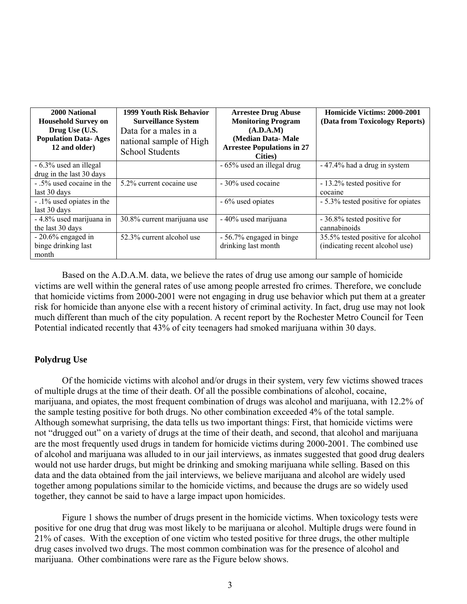| 2000 National<br><b>Household Survey on</b><br>Drug Use (U.S.<br><b>Population Data-Ages</b><br>12 and older) | 1999 Youth Risk Behavior<br><b>Surveillance System</b><br>Data for a males in a<br>national sample of High<br><b>School Students</b> | <b>Arrestee Drug Abuse</b><br><b>Monitoring Program</b><br>(A.D.A.M)<br>(Median Data-Male<br><b>Arrestee Populations in 27</b><br>Cities) | <b>Homicide Victims: 2000-2001</b><br>(Data from Toxicology Reports) |
|---------------------------------------------------------------------------------------------------------------|--------------------------------------------------------------------------------------------------------------------------------------|-------------------------------------------------------------------------------------------------------------------------------------------|----------------------------------------------------------------------|
| - 6.3% used an illegal<br>drug in the last 30 days                                                            |                                                                                                                                      | - 65% used an illegal drug                                                                                                                | - 47.4% had a drug in system                                         |
| - .5% used cocaine in the<br>last 30 days                                                                     | 5.2% current cocaine use                                                                                                             | - 30% used cocaine                                                                                                                        | - 13.2% tested positive for<br>cocaine                               |
| - .1% used opiates in the<br>last 30 days                                                                     |                                                                                                                                      | - 6% used opiates                                                                                                                         | - 5.3% tested positive for opiates                                   |
| - 4.8% used marijuana in<br>the last 30 days                                                                  | 30.8% current marijuana use                                                                                                          | - 40% used marijuana                                                                                                                      | - 36.8% tested positive for<br>cannabinoids                          |
| $-20.6\%$ engaged in<br>binge drinking last<br>month                                                          | 52.3% current alcohol use                                                                                                            | - 56.7% engaged in binge<br>drinking last month                                                                                           | 35.5% tested positive for alcohol<br>(indicating recent alcohol use) |

Based on the A.D.A.M. data, we believe the rates of drug use among our sample of homicide victims are well within the general rates of use among people arrested fro crimes. Therefore, we conclude that homicide victims from 2000-2001 were not engaging in drug use behavior which put them at a greater risk for homicide than anyone else with a recent history of criminal activity. In fact, drug use may not look much different than much of the city population. A recent report by the Rochester Metro Council for Teen Potential indicated recently that 43% of city teenagers had smoked marijuana within 30 days.

## **Polydrug Use**

Of the homicide victims with alcohol and/or drugs in their system, very few victims showed traces of multiple drugs at the time of their death. Of all the possible combinations of alcohol, cocaine, marijuana, and opiates, the most frequent combination of drugs was alcohol and marijuana, with 12.2% of the sample testing positive for both drugs. No other combination exceeded 4% of the total sample. Although somewhat surprising, the data tells us two important things: First, that homicide victims were not "drugged out" on a variety of drugs at the time of their death, and second, that alcohol and marijuana are the most frequently used drugs in tandem for homicide victims during 2000-2001. The combined use of alcohol and marijuana was alluded to in our jail interviews, as inmates suggested that good drug dealers would not use harder drugs, but might be drinking and smoking marijuana while selling. Based on this data and the data obtained from the jail interviews, we believe marijuana and alcohol are widely used together among populations similar to the homicide victims, and because the drugs are so widely used together, they cannot be said to have a large impact upon homicides.

Figure 1 shows the number of drugs present in the homicide victims. When toxicology tests were positive for one drug that drug was most likely to be marijuana or alcohol. Multiple drugs were found in 21% of cases. With the exception of one victim who tested positive for three drugs, the other multiple drug cases involved two drugs. The most common combination was for the presence of alcohol and marijuana. Other combinations were rare as the Figure below shows.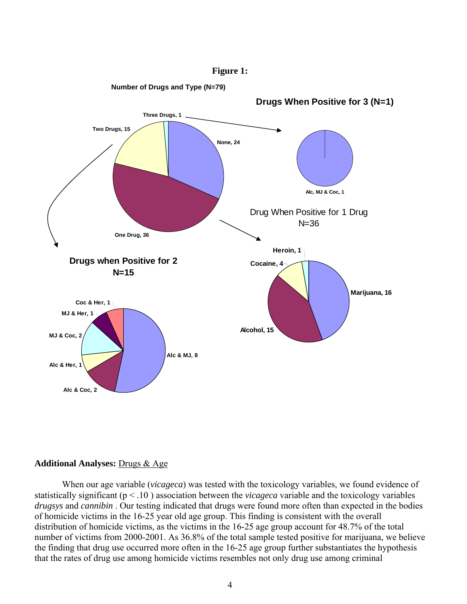

#### **Figure 1:**

### **Additional Analyses:** Drugs & Age

When our age variable (*vicageca*) was tested with the toxicology variables, we found evidence of statistically significant (p < .10 ) association between the *vicageca* variable and the toxicology variables *drugsys* and *cannibin* . Our testing indicated that drugs were found more often than expected in the bodies of homicide victims in the 16-25 year old age group. This finding is consistent with the overall distribution of homicide victims, as the victims in the 16-25 age group account for 48.7% of the total number of victims from 2000-2001. As 36.8% of the total sample tested positive for marijuana, we believe the finding that drug use occurred more often in the 16-25 age group further substantiates the hypothesis that the rates of drug use among homicide victims resembles not only drug use among criminal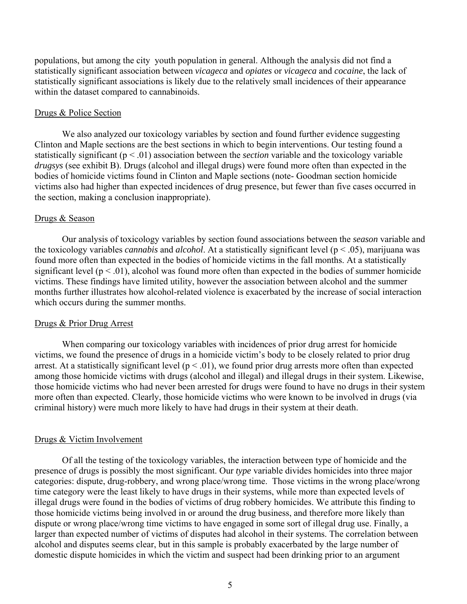populations, but among the city youth population in general. Although the analysis did not find a statistically significant association between *vicageca* and *opiates* or *vicageca* and *cocaine*, the lack of statistically significant associations is likely due to the relatively small incidences of their appearance within the dataset compared to cannabinoids.

#### Drugs & Police Section

We also analyzed our toxicology variables by section and found further evidence suggesting Clinton and Maple sections are the best sections in which to begin interventions. Our testing found a statistically significant (p < .01) association between the *section* variable and the toxicology variable *drugsys* (see exhibit B). Drugs (alcohol and illegal drugs) were found more often than expected in the bodies of homicide victims found in Clinton and Maple sections (note- Goodman section homicide victims also had higher than expected incidences of drug presence, but fewer than five cases occurred in the section, making a conclusion inappropriate).

#### Drugs & Season

Our analysis of toxicology variables by section found associations between the *season* variable and the toxicology variables *cannabis* and *alcohol*. At a statistically significant level (p < .05), marijuana was found more often than expected in the bodies of homicide victims in the fall months. At a statistically significant level  $(p < 0.01)$ , alcohol was found more often than expected in the bodies of summer homicide victims. These findings have limited utility, however the association between alcohol and the summer months further illustrates how alcohol-related violence is exacerbated by the increase of social interaction which occurs during the summer months.

#### Drugs & Prior Drug Arrest

When comparing our toxicology variables with incidences of prior drug arrest for homicide victims, we found the presence of drugs in a homicide victim's body to be closely related to prior drug arrest. At a statistically significant level  $(p < 0.01)$ , we found prior drug arrests more often than expected among those homicide victims with drugs (alcohol and illegal) and illegal drugs in their system. Likewise, those homicide victims who had never been arrested for drugs were found to have no drugs in their system more often than expected. Clearly, those homicide victims who were known to be involved in drugs (via criminal history) were much more likely to have had drugs in their system at their death.

#### Drugs & Victim Involvement

Of all the testing of the toxicology variables, the interaction between type of homicide and the presence of drugs is possibly the most significant. Our *type* variable divides homicides into three major categories: dispute, drug-robbery, and wrong place/wrong time. Those victims in the wrong place/wrong time category were the least likely to have drugs in their systems, while more than expected levels of illegal drugs were found in the bodies of victims of drug robbery homicides. We attribute this finding to those homicide victims being involved in or around the drug business, and therefore more likely than dispute or wrong place/wrong time victims to have engaged in some sort of illegal drug use. Finally, a larger than expected number of victims of disputes had alcohol in their systems. The correlation between alcohol and disputes seems clear, but in this sample is probably exacerbated by the large number of domestic dispute homicides in which the victim and suspect had been drinking prior to an argument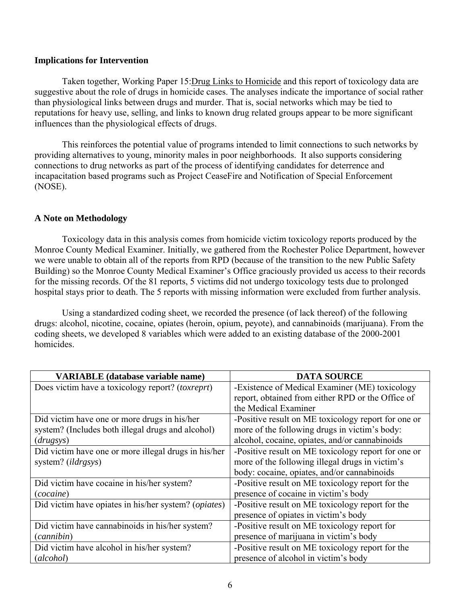## **Implications for Intervention**

Taken together, Working Paper 15:Drug Links to Homicide and this report of toxicology data are suggestive about the role of drugs in homicide cases. The analyses indicate the importance of social rather than physiological links between drugs and murder. That is, social networks which may be tied to reputations for heavy use, selling, and links to known drug related groups appear to be more significant influences than the physiological effects of drugs.

This reinforces the potential value of programs intended to limit connections to such networks by providing alternatives to young, minority males in poor neighborhoods. It also supports considering connections to drug networks as part of the process of identifying candidates for deterrence and incapacitation based programs such as Project CeaseFire and Notification of Special Enforcement (NOSE).

## **A Note on Methodology**

Toxicology data in this analysis comes from homicide victim toxicology reports produced by the Monroe County Medical Examiner. Initially, we gathered from the Rochester Police Department, however we were unable to obtain all of the reports from RPD (because of the transition to the new Public Safety Building) so the Monroe County Medical Examiner's Office graciously provided us access to their records for the missing records. Of the 81 reports, 5 victims did not undergo toxicology tests due to prolonged hospital stays prior to death. The 5 reports with missing information were excluded from further analysis.

Using a standardized coding sheet, we recorded the presence (of lack thereof) of the following drugs: alcohol, nicotine, cocaine, opiates (heroin, opium, peyote), and cannabinoids (marijuana). From the coding sheets, we developed 8 variables which were added to an existing database of the 2000-2001 homicides.

| <b>VARIABLE</b> (database variable name)                      | <b>DATA SOURCE</b>                                  |  |
|---------------------------------------------------------------|-----------------------------------------------------|--|
| Does victim have a toxicology report? (toxreprt)              | -Existence of Medical Examiner (ME) toxicology      |  |
|                                                               | report, obtained from either RPD or the Office of   |  |
|                                                               | the Medical Examiner                                |  |
| Did victim have one or more drugs in his/her                  | -Positive result on ME toxicology report for one or |  |
| system? (Includes both illegal drugs and alcohol)             | more of the following drugs in victim's body:       |  |
| (drugsys)                                                     | alcohol, cocaine, opiates, and/or cannabinoids      |  |
| Did victim have one or more illegal drugs in his/her          | -Positive result on ME toxicology report for one or |  |
| system? (ildrgsys)                                            | more of the following illegal drugs in victim's     |  |
|                                                               | body: cocaine, opiates, and/or cannabinoids         |  |
| Did victim have cocaine in his/her system?                    | -Positive result on ME toxicology report for the    |  |
| (cocaine)                                                     | presence of cocaine in victim's body                |  |
| Did victim have opiates in his/her system? ( <i>opiates</i> ) | -Positive result on ME toxicology report for the    |  |
|                                                               | presence of opiates in victim's body                |  |
| Did victim have cannabinoids in his/her system?               | -Positive result on ME toxicology report for        |  |
| (cannibin)                                                    | presence of marijuana in victim's body              |  |
| Did victim have alcohol in his/her system?                    | -Positive result on ME toxicology report for the    |  |
| (alcbol)                                                      | presence of alcohol in victim's body                |  |